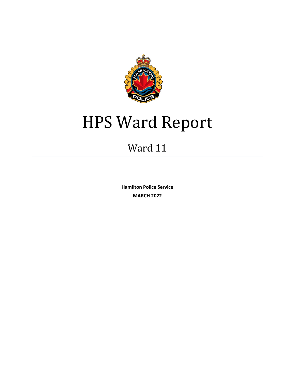

# HPS Ward Report

# Ward 11

**Hamilton Police Service MARCH 2022**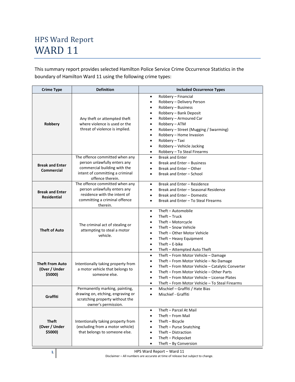This summary report provides selected Hamilton Police Service Crime Occurrence Statistics in the boundary of Hamilton Ward 11 using the following crime types:

| <b>Crime Type</b>                                  | <b>Definition</b>                                                                                                                                     | <b>Included Occurrence Types</b>                                                                                                                                                                                                                                                                                                                     |  |  |  |  |
|----------------------------------------------------|-------------------------------------------------------------------------------------------------------------------------------------------------------|------------------------------------------------------------------------------------------------------------------------------------------------------------------------------------------------------------------------------------------------------------------------------------------------------------------------------------------------------|--|--|--|--|
| Robbery                                            | Any theft or attempted theft<br>where violence is used or the<br>threat of violence is implied.                                                       | Robbery - Financial<br>$\bullet$<br>Robbery - Delivery Person<br>Robbery - Business<br>Robbery - Bank Deposit<br>Robbery - Armoured Car<br>Robbery - ATM<br>Robbery - Street (Mugging / Swarming)<br>Robbery - Home Invasion<br>Robbery - Taxi<br>Robbery - Vehicle Jacking<br>٠<br>Robbery - To Steal Firearms<br>$\bullet$                         |  |  |  |  |
| <b>Break and Enter</b><br><b>Commercial</b>        | The offence committed when any<br>person unlawfully enters any<br>commercial building with the<br>intent of committing a criminal<br>offence therein. | <b>Break and Enter</b><br>$\bullet$<br>Break and Enter - Business<br>Break and Enter - Other<br>Break and Enter - School<br>$\bullet$                                                                                                                                                                                                                |  |  |  |  |
| <b>Break and Enter</b><br><b>Residential</b>       | The offence committed when any<br>person unlawfully enters any<br>residence with the intent of<br>committing a criminal offence<br>therein.           | Break and Enter - Residence<br>$\bullet$<br>Break and Enter - Seasonal Residence<br>Break and Enter - Domestic<br>Break and Enter - To Steal Firearms<br>$\bullet$                                                                                                                                                                                   |  |  |  |  |
| <b>Theft of Auto</b>                               | The criminal act of stealing or<br>attempting to steal a motor<br>vehicle.                                                                            | Theft - Automobile<br>$\bullet$<br>$Theft-Truck$<br>$\bullet$<br>Theft - Motorcycle<br>$\bullet$<br>Theft - Snow Vehicle<br>$\bullet$<br>Theft - Other Motor Vehicle<br>Theft - Heavy Equipment<br>$\bullet$<br>Theft $-$ E-bike<br>$\bullet$<br>Theft - Attempted Auto Theft<br>$\bullet$                                                           |  |  |  |  |
| <b>Theft From Auto</b><br>(Over / Under<br>\$5000) | Intentionally taking property from<br>a motor vehicle that belongs to<br>someone else.                                                                | Theft - From Motor Vehicle - Damage<br>$\bullet$<br>Theft - From Motor Vehicle - No Damage<br>$\bullet$<br>Theft - From Motor Vehicle - Catalytic Converter<br>٠<br>Theft - From Motor Vehicle - Other Parts<br>$\bullet$<br>Theft - From Motor Vehicle - License Plates<br>$\bullet$<br>Theft – From Motor Vehicle – To Steal Firearms<br>$\bullet$ |  |  |  |  |
| Graffiti                                           | Permanently marking, painting,<br>drawing on, etching, engraving or<br>scratching property without the<br>owner's permission.                         | Mischief - Graffiti / Hate Bias<br>$\bullet$<br>Mischief - Graffiti<br>$\bullet$                                                                                                                                                                                                                                                                     |  |  |  |  |
| Theft<br>(Over / Under<br>\$5000)                  | Intentionally taking property from<br>(excluding from a motor vehicle)<br>that belongs to someone else.                                               | Theft - Parcel At Mail<br>$\bullet$<br>Theft - From Mail<br>$\bullet$<br>Theft - Bicycle<br>Theft - Purse Snatching<br>$\bullet$<br>Theft - Distraction<br>$\bullet$<br>Theft - Pickpocket<br>$\bullet$<br>Theft - By Conversion<br>٠                                                                                                                |  |  |  |  |

**1** HPS Ward Report – Ward 11 Disclaimer – All numbers are accurate at time of release but subject to change.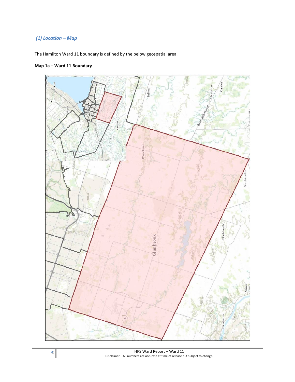# *(1) Location – Map*

The Hamilton Ward 11 boundary is defined by the below geospatial area.

# **Map 1a – Ward 11 Boundary**

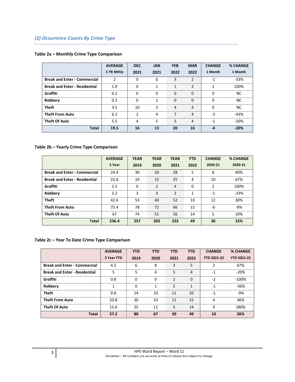# *(2) Occurrence Counts By Crime Type*

|                                      | <b>AVERAGE</b><br>5 YR Mthly | <b>DEC</b><br>2021 | <b>JAN</b><br>2021 | <b>FEB</b><br>2022 | <b>MAR</b><br>2022 | <b>CHANGE</b><br>1 Month | % CHANGE<br>1 Month |
|--------------------------------------|------------------------------|--------------------|--------------------|--------------------|--------------------|--------------------------|---------------------|
| <b>Break and Enter - Commercial</b>  |                              |                    |                    | 3                  | ำ                  | $-1$                     | $-33%$              |
| <b>Break and Enter - Residential</b> | 1.9                          |                    |                    |                    | ר                  |                          | 100%                |
| Graffiti                             | 0.2                          | 0                  | 0                  | 0                  | 0                  |                          | ΝC                  |
| Robbery                              | 0.2                          |                    |                    | ი                  |                    |                          | ΝC                  |
| <b>Theft</b>                         | 3.5                          | 10                 |                    | 4                  | 4                  |                          | ΝC                  |
| <b>Theft From Auto</b>               | 6.2                          |                    | 4                  |                    | 4                  | -3                       | -43%                |
| <b>Theft Of Auto</b>                 | 5.5                          |                    |                    | 5                  |                    | ۰                        | -20%                |
| <b>Total</b>                         | 19.5                         | 16                 | 13                 | 20                 | 16                 |                          | -20%                |

#### **Table 2a – Monthly Crime Type Comparison**

#### **Table 2b – Yearly Crime Type Comparison**

|                                      | <b>AVERAGE</b> | <b>YEAR</b> | <b>YEAR</b> | <b>YEAR</b> | <b>YTD</b> | <b>CHANGE</b> | <b>% CHANGE</b> |
|--------------------------------------|----------------|-------------|-------------|-------------|------------|---------------|-----------------|
|                                      | 5 Year         | 2019        | 2020        | 2021        | 2022       | 2020-21       | 2020-21         |
| <b>Break and Enter - Commercial</b>  | 24.4           | 30          | 20          | 28          |            | Ջ             | 40%             |
| <b>Break and Enter - Residential</b> | 22.6           | 19          | 15          | 25          | 4          | 10            | 67%             |
| Graffiti                             | 2.2            | O           |             |             | O          |               | 100%            |
| Robberv                              | 2.2            |             |             |             |            | -1            | -33%            |
| <b>Theft</b>                         | 42.6           | 53          | 40          | 52          | 10         | 12            | 30%             |
| <b>Theft From Auto</b>               | 75.4           | 78          | 72          | 66          | 15         | -6            | -8%             |
| <b>Theft Of Auto</b>                 | 67             | 74          | 51          | 56          | 14         |               | 10%             |
| Total                                | 236.4          | 257         | 203         |             | 49         | 30            | 15%             |

# **Table 2c – Year To Date Crime Type Comparison**

|                                      | <b>AVERAGE</b> | <b>YTD</b> | <b>YTD</b> | <b>YTD</b> | <b>YTD</b> | <b>CHANGE</b>      | <b>% CHANGE</b>    |
|--------------------------------------|----------------|------------|------------|------------|------------|--------------------|--------------------|
|                                      | 5 Year YTD     | 2019       | 2020       | 2021       | 2022       | <b>YTD 2021-22</b> | <b>YTD 2021-22</b> |
| <b>Break and Enter - Commercial</b>  | 4.2            | 6          | Զ          |            |            |                    | 67%                |
| <b>Break and Enter - Residential</b> | 5              | 5          |            | 5          | 4          | -1                 | -20%               |
| Graffiti                             | 0.8            |            |            |            |            | - 2                | $-100\%$           |
| <b>Robbery</b>                       |                |            |            |            |            | -1                 | -50%               |
| Theft                                | 9.8            | 14         | 10         | 11         | 10         |                    | -9%                |
| <b>Theft From Auto</b>               | 20.8           | 30         | 33         | 11         | 15         |                    | 36%                |
| <b>Theft Of Auto</b>                 | 15.6           | 25         | 11         |            | 14         |                    | 180%               |
| Total                                | 57.2           | 80         | 67         | 39         | 49         |                    | 26%                |